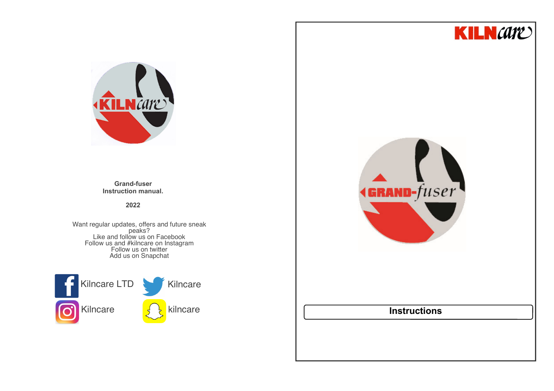



**Grand-fuser Instruction manual.**

**2022**

Want regular updates, offers and future sneak<br>
peaks?<br>
Like and follow us on Facebook<br>
Follow us and #kilncare on Instagram<br>
Follow us on twitter Add us on Snapchat



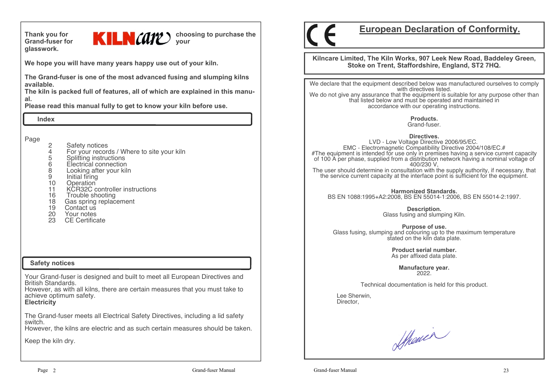**glasswork.**



**We hope you will have many years happy use out of your kiln.** 

**The Grand-fuser is one of the most advanced fusing and slumping kilns available.** 

 **The kiln is packed full of features, all of which are explained in this manual.**

**Please read this manual fully to get to know your kiln before use.**

 **Index**

Page

- 2 Safety notices<br>4 For your record
- 4 For your records / Where to site your kiln
- 5 Splitting instructions<br>6 Electrical connection
- 6 Electrical connection
- 8 Looking after your kiln
- 9 Initial firing<br>10 Operation
- 10 Operation<br>11 KCR32C c
- 11 KCR32C controller instructions
- 16 Trouble shooting<br>18 Gas spring replac
- 18 Gas spring replacement<br>19 Contact us
- Contact us
- 20 Your notes
- 23 CE Certificate

### **Safety notices**

Your Grand-fuser is designed and built to meet all European Directives and<br>British Standards

 However, as with all kilns, there are certain measures that you must take to achieve optimum safety.

**Electricity**

The Grand-fuser meets all Electrical Safety Directives, including a lid safety switch.

However, the kilns are electric and as such certain measures should be taken.

Keep the kiln dry.



# **European Declaration of Conformity.**

**Kilncare Limited, The Kiln Works, 907 Leek New Road, Baddeley Green, Stoke on Trent, Staffordshire, England, ST2 7HQ.**

We declare that the equipment described below was manufactured ourselves to comply with directives listed.

 We do not give any assurance that the equipment is suitable for any purpose other than that listed below and must be operated and maintained in accordance with our operating instructions.

> **Products.**Grand-fuser.

**Directives.**

 LVD - Low Voltage Directive 2006/95/EC. EMC - Electromagnetic Compatibility Directive 2004/108/EC.# #The equipment is intended for use only in premises having a service current capacity of 100 A per phase, supplied from a distribution network having a nominal voltage of 400/230 V, The user should determine in consultation with the supply authority, if necessary, that the service current capacity at the interface point is sufficient for the equipment.

**Harmonized Standards.**BS EN 1088:1995+A2:2008, BS EN 55014-1:2006, BS EN 55014-2:1997.

> **Description.** Glass fusing and slumping Kiln.

**Purpose of use.** Glass fusing, slumping and colouring up to the maximum temperature stated on the kiln data plate.

> **Product serial number.**As per affixed data plate.

> > **Manufacture year.**2022.

Technical documentation is held for this product.

 Lee Sherwin,Director,

Shower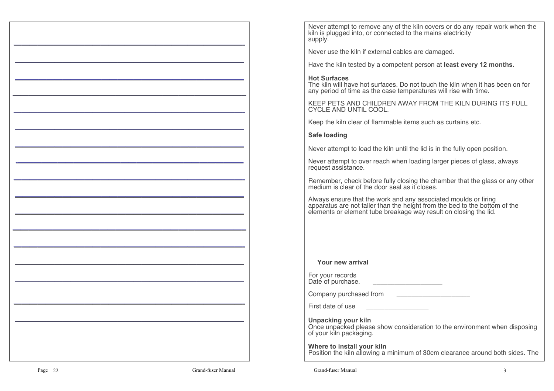Never attempt to remove any of the kiln covers or do any repair work when the kiln is plugged into, or connected to the mains electricity supply.

Never use the kiln if external cables are damaged.

Have the kiln tested by a competent person at **least every 12 months.**

## **Hot Surfaces**

 The kiln will have hot surfaces. Do not touch the kiln when it has been on for any period of time as the case temperatures will rise with time.

KEEP PETS AND CHILDREN AWAY FROM THE KILN DURING ITS FULL CYCLE AND UNTIL COOL.

Keep the kiln clear of flammable items such as curtains etc.

## **Safe loading**

Never attempt to load the kiln until the lid is in the fully open position.

Never attempt to over reach when loading larger pieces of glass, always request assistance.

Remember, check before fully closing the chamber that the glass or any other medium is clear of the door seal as it closes.

Always ensure that the work and any associated moulds or firing apparatus are not taller than the height from the bed to the bottom of the elements or element tube breakage way result on closing the lid.

**Your new arrival**

For your recordsDate of purchase. \_\_\_\_\_\_\_\_\_\_\_\_\_\_\_\_\_\_\_\_\_\_\_

Company purchased from \_\_\_\_\_\_\_\_\_\_\_\_\_\_\_\_\_\_\_\_

First date of use

**Unpacking your kiln**

 Once unpacked please show consideration to the environment when disposing of your kiln packaging.

**Where to install your kiln**Position the kiln allowing a minimum of 30cm clearance around both sides. The

—————————————————————————————-

—————————————————————————————

—————————————————————————————- ————————————————————————————— —————————————————————————————

—————————————————————————————

—————————————————————————————–

—————————————————————————————-

 $\frac{1}{2}$  , and the contribution of  $\frac{1}{2}$  , and  $\frac{1}{2}$  , and  $\frac{1}{2}$  , and  $\frac{1}{2}$  , and  $\frac{1}{2}$  , and  $\frac{1}{2}$ 

—————————————————————————————

 $\mathcal{L}=\{x\in\mathcal{L}^{\infty}\mid x\in\mathcal{L}^{\infty}\}$  , where  $\mathcal{L}=\{x\in\mathcal{L}^{\infty}\mid x\in\mathcal{L}^{\infty}\}$ 

—————————————————————————————

 $\mathcal{L}=\{x_1,\ldots,x_n\}$  , we can assume that the contribution of  $\mathcal{L}=\{x_1,\ldots,x_n\}$ 

-————————————————————————————–

-————————————————————————————–

—————————————————————————————-

—————————————————————————————-

—————————————————————————————

 $\mathcal{L}=\{x\in\mathcal{L}^{\infty}\mid x\in\mathcal{L}^{\infty}\}$  , where  $\mathcal{L}=\{x\in\mathcal{L}^{\infty}\mid x\in\mathcal{L}^{\infty}\}$ 

—————————————————————————————

 $\mathcal{L}=\{x_1,\ldots,x_n\}$  , we can assume that the contribution of  $\mathcal{L}=\{x_1,\ldots,x_n\}$ 

—————————————————————————————–

 $\mathcal{L}=\{x_1,\ldots,x_n\}$  , we have the set of  $\mathcal{L}=\{x_1,\ldots,x_n\}$  , we have the set of  $\mathcal{L}=\{x_1,\ldots,x_n\}$ 

—————————————————————————————-

—————————————————————————————

 $\frac{1}{2}$  , and the contract of the contract of the contract of the contract of the contract of the contract of the contract of the contract of the contract of the contract of the contract of the contract of the contract

—————————————————————————————

—————————————————————————————-

—————————————————————————————

—————————————————————————————- —————————————————————————————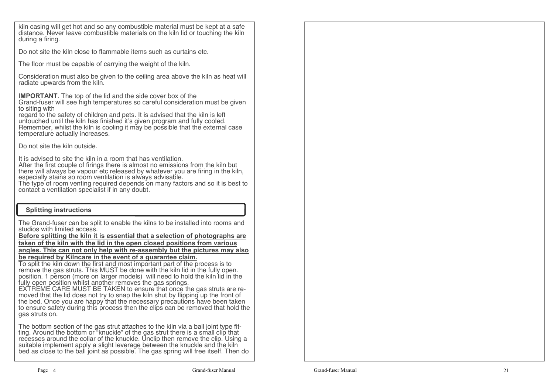kiln casing will get hot and so any combustible material must be kept at a safe distance. Never leave combustible materials on the kiln lid or touching the kiln during a firing.

Do not site the kiln close to flammable items such as curtains etc.

The floor must be capable of carrying the weight of the kiln.

Consideration must also be given to the ceiling area above the kiln as heat will radiate upwards from the kiln.

I**MPORTANT**. The top of the lid and the side cover box of the

 Grand-fuser will see high temperatures so careful consideration must be given to siting with

 regard to the safety of children and pets. It is advised that the kiln is left untouched until the kiln has finished it's given program and fully cooled. Remember, whilst the kiln is cooling it may be possible that the external case temperature actually increases.

Do not site the kiln outside.

It is advised to site the kiln in a room that has ventilation.

 After the first couple of firings there is almost no emissions from the kiln but there will always be vapour etc released by whatever you are firing in the kiln, especially stains so room ventilation is always advisable.

 The type of room venting required depends on many factors and so it is best to contact a ventilation specialist if in any doubt.

## **Splitting instructions**

The Grand-fuser can be split to enable the kilns to be installed into rooms and studios with limited access.

 **Before splitting the kiln it is essential that a selection of photographs are taken of the kiln with the lid in the open closed positions from various angles. This can not only help with re-assembly but the pictures may also be required by Kilncare in the event of a guarantee claim.**

 To split the kiln down the first and most important part of the process is to remove the gas struts. This MUST be done with the kiln lid in the fully open. position. 1 person (more on larger models) will need to hold the kiln lid in the

fully open position whilst another removes the gas springs.<br>EXTREME CARE MUST BE TAKEN to ensure that once the gas struts are re-<br>moved that the lid does not try to snap the kiln shut by flipping up the front of the bed. Once you are happy that the necessary precautions have been taken to ensure safety during this process then the clips can be removed that hold the gas struts on.

The bottom section of the gas strut attaches to the kiln via a ball joint type fitting. Around the bottom or "knuckle" of the gas strut there is a small clip that recesses around the collar of the knuckle. Unclip then remove the clip. Using a suitable implement apply a slight leverage between the knuckle and the kiln bed as close to the ball joint as possible. The gas spring will free itself. Then do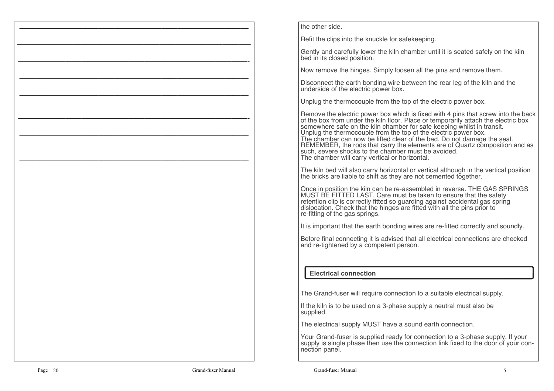|           |                    | the oth                                                           |
|-----------|--------------------|-------------------------------------------------------------------|
|           |                    | Refit th                                                          |
|           |                    | Gently<br>bed in                                                  |
|           |                    | Now re                                                            |
|           |                    | Discon<br>unders                                                  |
|           |                    | Unplug                                                            |
|           |                    | Remoy<br>of the I<br>somew<br>Unplug<br>The ch<br>REME<br>such, s |
|           |                    | The kil<br>the bri                                                |
|           |                    | Once i<br>MUST<br>retenti<br>disloca<br>re-fittin                 |
|           |                    | It is im                                                          |
|           |                    | Before<br>and re                                                  |
|           |                    | Ele                                                               |
|           |                    | The GI                                                            |
|           |                    | If the k<br>supplie                                               |
|           |                    | The el                                                            |
|           |                    | Your G<br>supply<br>nection                                       |
| Page $20$ | Grand-fuser Manual | Gr                                                                |

er side.

he clips into the knuckle for safekeeping.

and carefully lower the kiln chamber until it is seated safely on the kiln its closed position.

emove the hinges. Simply loosen all the pins and remove them.

nect the earth bonding wire between the rear leg of the kiln and the side of the electric power box.

q the thermocouple from the top of the electric power box.

ve the electric power box which is fixed with 4 pins that screw into the back box from under the kiln floor. Place or temporarily attach the electric box where safe on the kiln chamber for safe keeping whilst in transit. In the target the thermocouple from the top of the electric power box. The chamber can now be lifted clear of the bed. Do not damage the seal.MBER, the rods that carry the elements are of Quartz composition and as severe shocks to the chamber must be avoided. amber will carry vertical or horizontal.

In bed will also carry horizontal or vertical although in the vertical position icks are liable to shift as they are not cemented together.

in position the kiln can be re-assembled in reverse. THE GAS SPRINGS BE FITTED LAST. Care must be taken to ensure that the safety retention clip is correctly fitted so guarding against accidental gas spring<br>dislocation. Check that the hinges are fitted with all the pins prior to ig of the gas springs.

It is are-fitted correctly and that that that the earth bonding inportant that the earth bonding.

final connecting it is advised that all electrical connections are checked tightened by a competent person.

## **Electrical connection**

rand-fuser will require connection to a suitable electrical supply.

 $\sin$  is to be used on a 3-phase supply a neutral must also be he

ectrical supply MUST have a sound earth connection.

Grand-fuser is supplied ready for connection to a 3-phase supply. If your supply is single phase then use the connection link fixed to the door of your conn panel.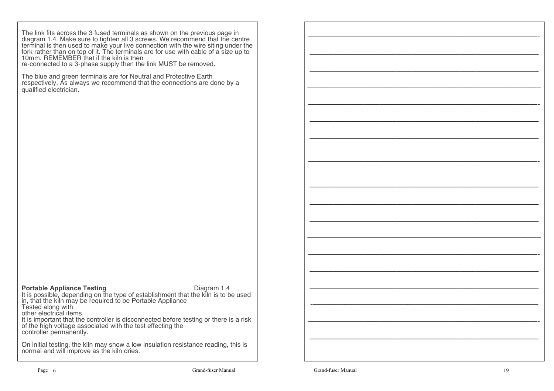The link fits across the 3 fused terminals as shown on the previous page in diagram 1.4. Make sure to tighten all 3 screws. We recommend that the centre terminal is then used to make your live connection with the wire siting under the fork rather than on top of it. The terminals are for use with cable of a size up to 10mm. REMEMBER that if the kiln is then

re-connected to a 3-phase supply then the link MUST be removed.

The blue and green terminals are for Neutral and Protective Earth respectively. As always we recommend that the connections are done by a qualified electrician**.**

#### **Portable Appliance Testing**  Diagram 1.4

 It is possible, depending on the type of establishment that the kiln is to be used in, that the kiln may be required to be Portable Appliance Tested along with other electrical items. It is important that the controller is disconnected before testing or there is a risk

of the high voltage associated with the test effecting the controller permanently.

On initial testing, the kiln may show a low insulation resistance reading, this is normal and will improve as the kiln dries.

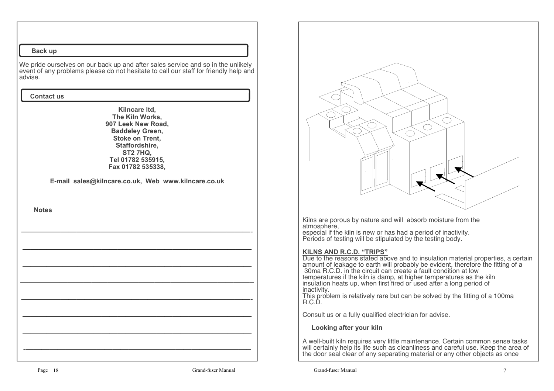### **Back up**

We pride ourselves on our back up and after sales service and so in the unlikely event of any problems please do not hesitate to call our staff for friendly help and advise.

### **Contact us**

**Kilncare ltd, The Kiln Works, 907 Leek New Road, Baddeley Green, Stoke on Trent, Staffordshire, ST2 7HQ, Tel 01782 535915, Fax 01782 535338,**

**E-mail sales@kilncare.co.uk, Web www.kilncare.co.uk**

 **Notes**



Kilns are porous by nature and will absorb moisture from the atmosphere,

 especial if the kiln is new or has had a period of inactivity.Periods of testing will be stipulated by the testing body.

### **KILNS AND R.C.D. "TRIPS"**

 Due to the reasons stated above and to insulation material properties, a certain amount of leakage to earth will probably be evident, therefore the fitting of a 30ma R.C.D. in the circuit can create a fault condition at low temperatures if the kiln is damp, at higher temperatures as the kiln insulation heats up, when first fired or used after a long period of inactivity.

This problem is relatively rare but can be solved by the fitting of a 100ma<br>R.C.D.

Consult us or a fully qualified electrician for advise.

### **Looking after your kiln**

A well-built kiln requires very little maintenance. Certain common sense tasks will certainly help its life such as cleanliness and careful use. Keep the area of the door seal clear of any separating material or any other objects as once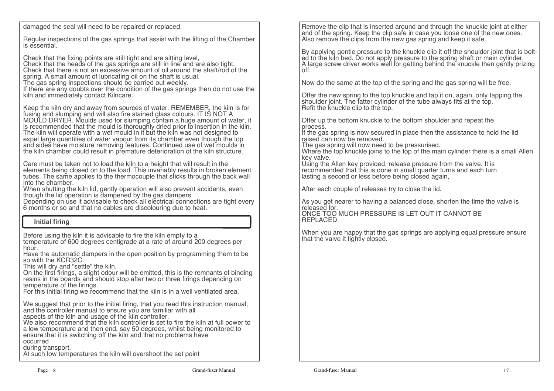damaged the seal will need to be repaired or replaced.

Regular inspections of the gas springs that assist with the lifting of the Chamber is essential.

Check that the fixing points are still tight and are sitting level,

 Check that the heads of the gas springs are still in line and are also tight. Check that there is not an excessive amount of oil around the shaft/rod of the spring. A small amount of lubricating oil on the shaft is usual.

The gas spring inspections should be carried out weekly.

 If there are any doubts over the condition of the gas springs then do not use the kiln and immediately contact Kilncare.

Keep the kiln dry and away from sources of water. REMEMBER, the kiln is for fusing and slumping and will also fire stained glass colours. IT IS NOT A fusing and slumping and will also fire stained glass colours. IT IS NOT A MOULD DRYER. Moulds used for slumping contain a huge amount of water, it is recommended that the mould is thoroughly dried prior to insertion in the kiln. The kiln will operate with a wet mould in it but the kiln was not designed to expel large quantities of water vapour from its chamber even though the top and sides have moisture removing features. Continued use of wet moulds in the kiln chamber could result in premature deterioration of the kiln structure.

Care must be taken not to load the kiln to a height that will result in the elements being closed on to the load. This invariably results in broken element tubes. The same applies to the thermocouple that sticks through the back wall into the chamber.

 When shutting the kiln lid, gently operation will also prevent accidents, even though the lid operation is dampened by the gas dampers.

 Depending on use it advisable to check all electrical connections are tight every 6 months or so and that no cables are discolouring due to heat.

# **Initial firing**

Before using the kiln it is advisable to fire the kiln empty to a

 temperature of 600 degrees centigrade at a rate of around 200 degrees per hour.

Have the automatic dampers in the open position by programming them to be <br>so with the KCR32C.

This will dry and "settle" the kiln.

 On the first firings, a slight odour will be emitted, this is the remnants of binding resins in the boards and should stop after two or three firings depending on temperature of the firings.

For this initial firing we recommend that the kiln is in a well ventilated area.

We suggest that prior to the initial firing, that you read this instruction manual, and the controller manual to ensure you are familiar with all

aspects of the kiln and usage of the kiln controller.

 We also recommend that the kiln controller is set to fire the kiln at full power to a low temperature and then end, say 50 degrees, whilst being monitored to ensure that it is switching off the kiln and that no problems have occurred

during transport.

At such low temperatures the kiln will overshoot the set point

Remove the clip that is inserted around and through the knuckle joint at either end of the spring. Keep the clip safe in case you loose one of the new ones. Also remove the clips from the new gas spring and keep it safe.

By applying gentle pressure to the knuckle clip it off the shoulder joint that is bolted to the kiln bed. Do not apply pressure to the spring shaft or main cylinder. A large screw driver works well for getting behind the knuckle then gently prizing off.

Now do the same at the top of the spring and the gas spring will be free.

Offer the new spring to the top knuckle and tap it on, again, only tapping the shoulder joint. The fatter cylinder of the tube always fits at the top. Refit the knuckle clip to the top.

Offer up the bottom knuckle to the bottom shoulder and repeat the process.

 If the gas spring is now secured in place then the assistance to hold the lid raised can now be removed.

The gas spring will now need to be pressurised.

 Where the top knuckle joins to the top of the main cylinder there is a small Allen key valve.

 Using the Allen key provided, release pressure from the valve. It is recommended that this is done in small quarter turns and each turn lasting a second or less before being closed again,

After each couple of releases try to close the lid.

As you get nearer to having a balanced close, shorten the time the valve is released for.

 ONCE TOO MUCH PRESSURE IS LET OUT IT CANNOT BE REPLACED.

When you are happy that the gas springs are applying equal pressure ensure that the valve it tightly closed.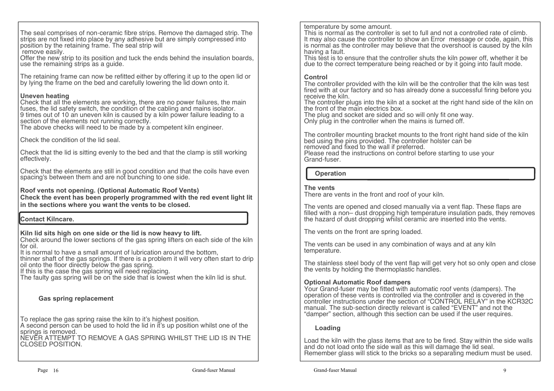The seal comprises of non-ceramic fibre strips. Remove the damaged strip. The strips are not fixed into place by any adhesive but are simply compressed into position by the retaining frame. The seal strip willremove easily.

 Offer the new strip to its position and tuck the ends behind the insulation boards, use the remaining strips as a guide.

The retaining frame can now be refitted either by offering it up to the open lid or by lying the frame on the bed and carefully lowering the lid down onto it.

## **Uneven heating**

 Check that all the elements are working, there are no power failures, the main fuses, the lid safety switch, the condition of the cabling and mains isolator. 9 times out of 10 an uneven kiln is caused by a kiln power failure leading to a section of the elements not running correctly.

The above checks will need to be made by a competent kiln engineer.

Check the condition of the lid seal.

Check that the lid is sitting evenly to the bed and that the clamp is still working effectively.

Check that the elements are still in good condition and that the coils have even spacing's between them and are not bunching to one side.

# **Roof vents not opening. (Optional Automatic Roof Vents)**

 **Check the event has been properly programmed with the red event light lit in the sections where you want the vents to be closed.**

# **Contact Kilncare.**

**Kiln lid sits high on one side or the lid is now heavy to lift.**

 Check around the lower sections of the gas spring lifters on each side of the kiln for oil.

It is normal to have a small amount of lubrication around the bottom,

 thinner shaft of the gas springs. If there is a problem it will very often start to drip oil onto the floor directly below the gas spring.

If this is the case the gas spring will need replacing.

The faulty gas spring will be on the side that is lowest when the kiln lid is shut.

# **Gas spring replacement**

To replace the gas spring raise the kiln to it's highest position.

 A second person can be used to hold the lid in it's up position whilst one of the springs is removed.<br>NEVER ATTEMPT TO REMOVE A GAS SPRING WHILST THE LID IS IN THE

CLOSED POSITION.

temperature by some amount.

 This is normal as the controller is set to full and not a controlled rate of climb. It may also cause the controller to show an Error message or code, again, this is normal as the controller may believe that the overshoot is caused by the kiln having a fault.

 This test is to ensure that the controller shuts the kiln power off, whether it be due to the correct temperature being reached or by it going into fault mode.

# **Control**

 The controller provided with the kiln will be the controller that the kiln was test fired with at our factory and so has already done a successful firing before you receive the kiln.

 The controller plugs into the kiln at a socket at the right hand side of the kiln on the front of the main electrics box.

The plug and socket are sided and so will only fit one way.

Only plug in the controller when the mains is turned off.

The controller mounting bracket mounts to the front right hand side of the kiln bed using the pins provided. The controller holster can be removed and fixed to the wall if preferred.

Please read the instructions on control before starting to use your<br>Grand-fuser.

 **Operation**

### **The vents**

There are vents in the front and roof of your kiln.

The vents are opened and closed manually via a vent flap. These flaps are filled with a non– dust dropping high temperature insulation pads, they removes the hazard of dust dropping whilst ceramic are inserted into the vents.

The vents on the front are spring loaded.

The vents can be used in any combination of ways and at any kiln temperature.

The stainless steel body of the vent flap will get very hot so only open and close the vents by holding the thermoplastic handles.

# **Optional Automatic Roof dampers**

 Your Grand-fuser may be fitted with automatic roof vents (dampers). The operation of these vents is controlled via the controller and is covered in the controller instructions under the section of "CONTROL RELAY" in the KCR32C manual. The sub-section directly relevant is called "EVENT" and not the "damper" section, although this section can be used if the user requires.

# **Loading**

Load the kiln with the glass items that are to be fired. Stay within the side walls and do not load onto the side wall as this will damage the lid seal.Remember glass will stick to the bricks so a separating medium must be used.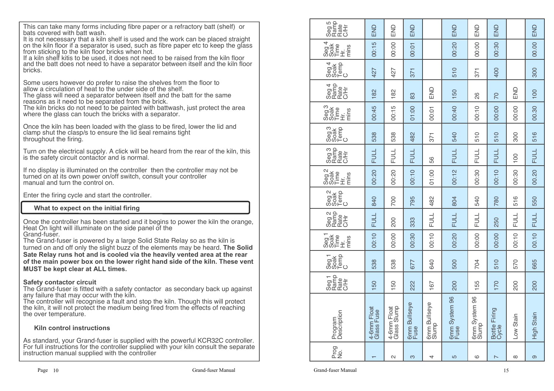This can take many forms including fibre paper or a refractory batt (shelf) or bats covered with batt wash.

 It is not necessary that a kiln shelf is used and the work can be placed straight on the kiln floor if a separator is used, such as fibre paper etc to keep the glass from sticking to the kiln floor bricks when hot.

 If a kiln shelf kitis to be used, it does not need to be raised from the kiln floor and the batt does not need to have a separator between itself and the kiln floor bricks.

Some users however do prefer to raise the shelves from the floor to allow a circulation of heat to the under side of the shelf.

 The glass will need a separator between itself and the batt for the same reasons as it need to be separated from the brick.

 The kiln bricks do not need to be painted with battwash, just protect the area where the glass can touch the bricks with a separator.

Once the kiln has been loaded with the glass to be fired, lower the lid and clamp shut the clasp/s to ensure the lid seal remains tight throughout the firing.

Turn on the electrical supply. A click will be heard from the rear of the kiln, this is the safety circuit contactor and is normal.

If no display is illuminated on the controller then the controller may not be turned on at its own power on/off switch, consult your controller manual and turn the control on.

Enter the firing cycle and start the controller.

## **What to expect on the initial firing**

Once the controller has been started and it begins to power the kiln the orange, Heat On light will illuminate on the side panel of the Grand-fuser.

 The Grand-fuser is powered by a large Solid State Relay so as the kiln is turned on and off only the slight buzz of the elements may be heard. **The Solid Sate Relay runs hot and is cooled via the heavily vented area at the rear of the main power box on the lower right hand side of the kiln. These vent MUST be kept clear at ALL times.**

## **Safety contactor circuit**

 The Grand-fuser is fitted with a safety contactor as secondary back up against any failure that may occur with the kiln.

 The controller will recognise a fault and stop the kiln. Though this will protect the kiln, it will not protect the medium being fired from the effects of reaching the over temperature.

### **Kiln control instructions**

As standard, your Grand-fuser is supplied with the powerful KCR32C controller. For full instructions for the controller supplied with your kiln consult the separate instruction manual supplied with the controller

| Seg 5<br>Ramp<br>C/Hr<br>C/Hr<br>END<br>END<br>END<br>END<br>END<br>END<br>$rac{994}{8000}$<br>00:15<br>00:20<br>00:00<br>00:00<br>00:30<br>00:01<br>$\begin{array}{c} 894 \\ 804 \\ - 100 \\ - 100 \\ - 100 \\ - 100 \\ - 100 \\ - 100 \\ - 100 \\ - 100 \\ - 100 \\ - 100 \\ - 100 \\ - 100 \\ - 100 \\ - 100 \\ - 100 \\ - 100 \\ - 100 \\ - 100 \\ - 100 \\ - 100 \\ - 100 \\ - 100 \\ - 100 \\ - 100 \\ - 100 \\ - 100 \\ - 100 \\ - 100 \\ - 100 \\ - 100 \\ - 100 \\ - 100 \\ - 100 \\ - 100$<br>510<br>400<br>427<br>427<br>371<br>371<br>Seg 4<br>Ramp<br>CAH<br>CAH<br>END<br>END<br>182<br>182<br>150<br>83<br>26<br><b>DZ</b><br>gox<br>Boar<br>Sophi<br>Sophi<br>00:45<br>00:15<br>00:40<br>00:10<br>00:10<br>00:00<br>00:00<br>00:01<br>ဝေ့<br>၁၀ နိုင်<br>၁၀ နိုင်<br>538<br>538<br>482<br>510<br>510<br>540<br>300<br>371<br>Seg <sub>3</sub><br>Rafe<br>CH<br>CH<br>CH<br><b>FULL</b><br><b>FULL</b><br><b>FULL</b><br><b>FULL</b><br><b>FULL</b><br>FULL<br>100<br>56<br>opa<br>Boat<br>Sopa<br>Sophie<br>00:10<br>00:12<br>00:20<br>00:20<br>01:00<br>00:30<br>00:10<br>00:30<br>Seg<br>Soak<br>Demp<br>C<br>795<br>482<br>840<br>700<br>804<br>540<br>780<br>516<br>Seg 2<br>Rafte<br>CA<br>CA<br>C<br><b>FULL</b><br><b>FULL</b><br><b>FULL</b><br><b>FULL</b><br>FULL<br>333<br>200<br>250<br>egT<br>808트<br>SOF<br>도트트<br>00:10<br>00:10<br>00:10<br>00:00<br>00:30<br>00:20<br>00:00<br>00:00<br>Seg1<br>Soak<br>Demp<br>538<br>538<br>640<br>500<br>510<br>570<br>677<br>704<br>Seg 1<br>Ramp<br>Rate<br>C/Hr<br>50<br>150<br>222<br>200<br>55<br>170<br>200<br>167<br>6mm System 96<br>Slump<br>6mm System 96<br>Fuse<br>6mm Bullseye<br>Slump<br>6mm Bullseye<br>Fuse<br>4-6mm Float<br>Glass Slump<br>4-6mm Float<br>Glass Fuse<br>Bottle Firing<br>Cycle<br>Program<br>Description<br>Low Stain<br>Prog<br>No.<br>N<br>S<br>4<br>5<br>စ<br>${}^{\circ}$<br>$\overline{ }$<br>$\overline{\phantom{0}}$ |  |  |  |  |  |             |
|------------------------------------------------------------------------------------------------------------------------------------------------------------------------------------------------------------------------------------------------------------------------------------------------------------------------------------------------------------------------------------------------------------------------------------------------------------------------------------------------------------------------------------------------------------------------------------------------------------------------------------------------------------------------------------------------------------------------------------------------------------------------------------------------------------------------------------------------------------------------------------------------------------------------------------------------------------------------------------------------------------------------------------------------------------------------------------------------------------------------------------------------------------------------------------------------------------------------------------------------------------------------------------------------------------------------------------------------------------------------------------------------------------------------------------------------------------------------------------------------------------------------------------------------------------------------------------------------------------------------------------------------------------------------------------------------------------------------------------------------------------------------------------------------------------------------------------------------------------------------------------------------------------------------------------|--|--|--|--|--|-------------|
|                                                                                                                                                                                                                                                                                                                                                                                                                                                                                                                                                                                                                                                                                                                                                                                                                                                                                                                                                                                                                                                                                                                                                                                                                                                                                                                                                                                                                                                                                                                                                                                                                                                                                                                                                                                                                                                                                                                                    |  |  |  |  |  | END         |
|                                                                                                                                                                                                                                                                                                                                                                                                                                                                                                                                                                                                                                                                                                                                                                                                                                                                                                                                                                                                                                                                                                                                                                                                                                                                                                                                                                                                                                                                                                                                                                                                                                                                                                                                                                                                                                                                                                                                    |  |  |  |  |  | 00.00       |
|                                                                                                                                                                                                                                                                                                                                                                                                                                                                                                                                                                                                                                                                                                                                                                                                                                                                                                                                                                                                                                                                                                                                                                                                                                                                                                                                                                                                                                                                                                                                                                                                                                                                                                                                                                                                                                                                                                                                    |  |  |  |  |  | 300         |
|                                                                                                                                                                                                                                                                                                                                                                                                                                                                                                                                                                                                                                                                                                                                                                                                                                                                                                                                                                                                                                                                                                                                                                                                                                                                                                                                                                                                                                                                                                                                                                                                                                                                                                                                                                                                                                                                                                                                    |  |  |  |  |  | 100         |
|                                                                                                                                                                                                                                                                                                                                                                                                                                                                                                                                                                                                                                                                                                                                                                                                                                                                                                                                                                                                                                                                                                                                                                                                                                                                                                                                                                                                                                                                                                                                                                                                                                                                                                                                                                                                                                                                                                                                    |  |  |  |  |  | 00.30       |
|                                                                                                                                                                                                                                                                                                                                                                                                                                                                                                                                                                                                                                                                                                                                                                                                                                                                                                                                                                                                                                                                                                                                                                                                                                                                                                                                                                                                                                                                                                                                                                                                                                                                                                                                                                                                                                                                                                                                    |  |  |  |  |  | 516         |
|                                                                                                                                                                                                                                                                                                                                                                                                                                                                                                                                                                                                                                                                                                                                                                                                                                                                                                                                                                                                                                                                                                                                                                                                                                                                                                                                                                                                                                                                                                                                                                                                                                                                                                                                                                                                                                                                                                                                    |  |  |  |  |  | <b>FULL</b> |
|                                                                                                                                                                                                                                                                                                                                                                                                                                                                                                                                                                                                                                                                                                                                                                                                                                                                                                                                                                                                                                                                                                                                                                                                                                                                                                                                                                                                                                                                                                                                                                                                                                                                                                                                                                                                                                                                                                                                    |  |  |  |  |  | 00.20       |
|                                                                                                                                                                                                                                                                                                                                                                                                                                                                                                                                                                                                                                                                                                                                                                                                                                                                                                                                                                                                                                                                                                                                                                                                                                                                                                                                                                                                                                                                                                                                                                                                                                                                                                                                                                                                                                                                                                                                    |  |  |  |  |  | 550         |
|                                                                                                                                                                                                                                                                                                                                                                                                                                                                                                                                                                                                                                                                                                                                                                                                                                                                                                                                                                                                                                                                                                                                                                                                                                                                                                                                                                                                                                                                                                                                                                                                                                                                                                                                                                                                                                                                                                                                    |  |  |  |  |  | <b>FULL</b> |
|                                                                                                                                                                                                                                                                                                                                                                                                                                                                                                                                                                                                                                                                                                                                                                                                                                                                                                                                                                                                                                                                                                                                                                                                                                                                                                                                                                                                                                                                                                                                                                                                                                                                                                                                                                                                                                                                                                                                    |  |  |  |  |  | 00.10       |
|                                                                                                                                                                                                                                                                                                                                                                                                                                                                                                                                                                                                                                                                                                                                                                                                                                                                                                                                                                                                                                                                                                                                                                                                                                                                                                                                                                                                                                                                                                                                                                                                                                                                                                                                                                                                                                                                                                                                    |  |  |  |  |  | 665         |
|                                                                                                                                                                                                                                                                                                                                                                                                                                                                                                                                                                                                                                                                                                                                                                                                                                                                                                                                                                                                                                                                                                                                                                                                                                                                                                                                                                                                                                                                                                                                                                                                                                                                                                                                                                                                                                                                                                                                    |  |  |  |  |  | <b>200</b>  |
|                                                                                                                                                                                                                                                                                                                                                                                                                                                                                                                                                                                                                                                                                                                                                                                                                                                                                                                                                                                                                                                                                                                                                                                                                                                                                                                                                                                                                                                                                                                                                                                                                                                                                                                                                                                                                                                                                                                                    |  |  |  |  |  | High Stair  |
|                                                                                                                                                                                                                                                                                                                                                                                                                                                                                                                                                                                                                                                                                                                                                                                                                                                                                                                                                                                                                                                                                                                                                                                                                                                                                                                                                                                                                                                                                                                                                                                                                                                                                                                                                                                                                                                                                                                                    |  |  |  |  |  | ၜ           |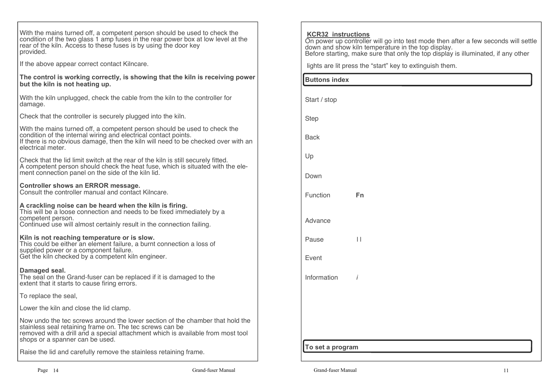| With the mains turned off, a competent person should be used to check the<br>condition of the two glass 1 amp fuses in the rear power box at low level at the<br>rear of the kiln. Access to these fuses is by using the door key<br>provided.                  |  |
|-----------------------------------------------------------------------------------------------------------------------------------------------------------------------------------------------------------------------------------------------------------------|--|
| If the above appear correct contact Kilncare.                                                                                                                                                                                                                   |  |
| The control is working correctly, is showing that the kiln is receiving power<br>but the kiln is not heating up.                                                                                                                                                |  |
| With the kiln unplugged, check the cable from the kiln to the controller for<br>damage.                                                                                                                                                                         |  |
| Check that the controller is securely plugged into the kiln.                                                                                                                                                                                                    |  |
| With the mains turned off, a competent person should be used to check the<br>condition of the internal wiring and electrical contact points.<br>If there is no obvious damage, then the kiln will need to be checked over with an<br>electrical meter.          |  |
| Check that the lid limit switch at the rear of the kiln is still securely fitted.<br>A competent person should check the heat fuse, which is situated with the ele-<br>ment connection panel on the side of the kiln lid.                                       |  |
| Controller shows an ERROR message.<br>Consult the controller manual and contact Kilncare.                                                                                                                                                                       |  |
| A crackling noise can be heard when the kiln is firing.<br>This will be a loose connection and needs to be fixed immediately by a<br>competent person.<br>Continued use will almost certainly result in the connection failing.                                 |  |
| Kiln is not reaching temperature or is slow.<br>This could be either an element failure, a burnt connection a loss of<br>supplied power or a component failure.<br>Get the kiln checked by a competent kiln engineer.                                           |  |
| Damaged seal.<br>The seal on the Grand-fuser can be replaced if it is damaged to the<br>extent that it starts to cause firing errors.                                                                                                                           |  |
| To replace the seal,                                                                                                                                                                                                                                            |  |
| Lower the kiln and close the lid clamp.                                                                                                                                                                                                                         |  |
| Now undo the tec screws around the lower section of the chamber that hold the<br>stainless seal retaining frame on. The tec screws can be<br>removed with a drill and a special attachment which is available from most tool<br>shops or a spanner can be used. |  |
| Raise the lid and carefully remove the stainless retaining frame.                                                                                                                                                                                               |  |

| <b>KCR32 instructions</b><br>On power up controller will go into test mode then after a few seconds will settle<br>down and show kiln temperature in the top display.<br>Before starting, make sure that only the top display is illuminated, if any other |                                                          |  |
|------------------------------------------------------------------------------------------------------------------------------------------------------------------------------------------------------------------------------------------------------------|----------------------------------------------------------|--|
|                                                                                                                                                                                                                                                            | lights are lit press the "start" key to extinguish them. |  |
| <b>Buttons index</b>                                                                                                                                                                                                                                       |                                                          |  |
| Start / stop                                                                                                                                                                                                                                               |                                                          |  |
| <b>Step</b>                                                                                                                                                                                                                                                |                                                          |  |
| <b>Back</b>                                                                                                                                                                                                                                                |                                                          |  |
| Up                                                                                                                                                                                                                                                         |                                                          |  |
| Down                                                                                                                                                                                                                                                       |                                                          |  |
| Function                                                                                                                                                                                                                                                   | Fn                                                       |  |
| Advance                                                                                                                                                                                                                                                    |                                                          |  |
| Pause                                                                                                                                                                                                                                                      | $\mathsf{I}$                                             |  |
| Event                                                                                                                                                                                                                                                      |                                                          |  |
| Information                                                                                                                                                                                                                                                | İ                                                        |  |
|                                                                                                                                                                                                                                                            |                                                          |  |
|                                                                                                                                                                                                                                                            |                                                          |  |
|                                                                                                                                                                                                                                                            |                                                          |  |
| To set a program                                                                                                                                                                                                                                           |                                                          |  |